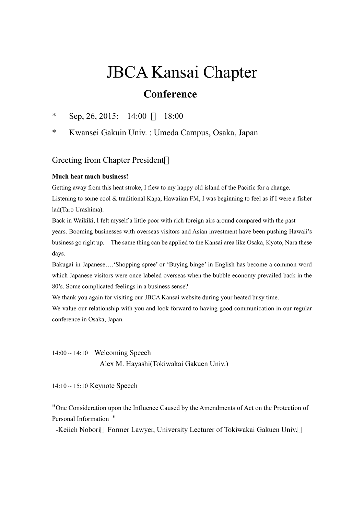## JBCA Kansai Chapter **Conference**

\* Sep, 26, 2015:  $14:00$  18:00

\* Kwansei Gakuin Univ. : Umeda Campus, Osaka, Japan

## Greeting from Chapter President

## **Much heat much business!**

Getting away from this heat stroke, I flew to my happy old island of the Pacific for a change. Listening to some cool & traditional Kapa, Hawaiian FM, I was beginning to feel as if I were a fisher lad(Taro Urashima).

Back in Waikiki, I felt myself a little poor with rich foreign airs around compared with the past years. Booming businesses with overseas visitors and Asian investment have been pushing Hawaii's business go right up. The same thing can be applied to the Kansai area like Osaka, Kyoto, Nara these days.

Bakugai in Japanese….'Shopping spree' or 'Buying binge' in English has become a common word which Japanese visitors were once labeled overseas when the bubble economy prevailed back in the 80's. Some complicated feelings in a business sense?

We thank you again for visiting our JBCA Kansai website during your heated busy time.

We value our relationship with you and look forward to having good communication in our regular conference in Osaka, Japan.

 $14:00 \sim 14:10$  Welcoming Speech Alex M. Hayashi(Tokiwakai Gakuen Univ.)

14:10 ~ 15:10 Keynote Speech

"One Consideration upon the Influence Caused by the Amendments of Act on the Protection of Personal Information "

-Keiich Nobori Former Lawyer, University Lecturer of Tokiwakai Gakuen Univ.